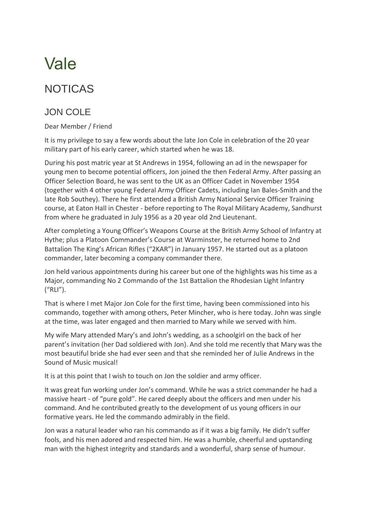## Vale

## NOTICAS

## JON COLE

Dear Member / Friend

It is my privilege to say a few words about the late Jon Cole in celebration of the 20 year military part of his early career, which started when he was 18.

During his post matric year at St Andrews in 1954, following an ad in the newspaper for young men to become potential officers, Jon joined the then Federal Army. After passing an Officer Selection Board, he was sent to the UK as an Officer Cadet in November 1954 (together with 4 other young Federal Army Officer Cadets, including Ian Bales-Smith and the late Rob Southey). There he first attended a British Army National Service Officer Training course, at Eaton Hall in Chester - before reporting to The Royal Military Academy, Sandhurst from where he graduated in July 1956 as a 20 year old 2nd Lieutenant.

After completing a Young Officer's Weapons Course at the British Army School of Infantry at Hythe; plus a Platoon Commander's Course at Warminster, he returned home to 2nd Battalion The King's African Rifles ("2KAR") in January 1957. He started out as a platoon commander, later becoming a company commander there.

Jon held various appointments during his career but one of the highlights was his time as a Major, commanding No 2 Commando of the 1st Battalion the Rhodesian Light Infantry ("RLI").

That is where I met Major Jon Cole for the first time, having been commissioned into his commando, together with among others, Peter Mincher, who is here today. John was single at the time, was later engaged and then married to Mary while we served with him.

My wife Mary attended Mary's and John's wedding, as a schoolgirl on the back of her parent's invitation (her Dad soldiered with Jon). And she told me recently that Mary was the most beautiful bride she had ever seen and that she reminded her of Julie Andrews in the Sound of Music musical!

It is at this point that I wish to touch on Jon the soldier and army officer.

It was great fun working under Jon's command. While he was a strict commander he had a massive heart - of "pure gold". He cared deeply about the officers and men under his command. And he contributed greatly to the development of us young officers in our formative years. He led the commando admirably in the field.

Jon was a natural leader who ran his commando as if it was a big family. He didn't suffer fools, and his men adored and respected him. He was a humble, cheerful and upstanding man with the highest integrity and standards and a wonderful, sharp sense of humour.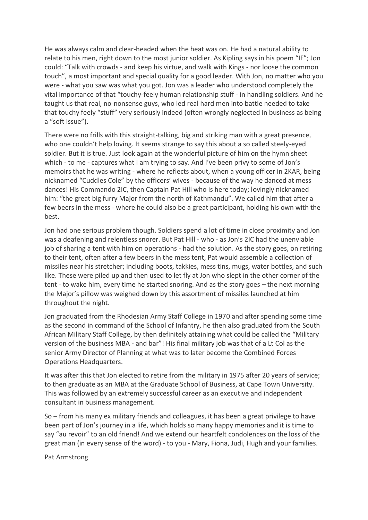He was always calm and clear-headed when the heat was on. He had a natural ability to relate to his men, right down to the most junior soldier. As Kipling says in his poem "IF"; Jon could: "Talk with crowds - and keep his virtue, and walk with Kings - nor loose the common touch", a most important and special quality for a good leader. With Jon, no matter who you were - what you saw was what you got. Jon was a leader who understood completely the vital importance of that "touchy-feely human relationship stuff - in handling soldiers. And he taught us that real, no-nonsense guys, who led real hard men into battle needed to take that touchy feely "stuff" very seriously indeed (often wrongly neglected in business as being a "soft issue").

There were no frills with this straight-talking, big and striking man with a great presence, who one couldn't help loving. It seems strange to say this about a so called steely-eyed soldier. But it is true. Just look again at the wonderful picture of him on the hymn sheet which - to me - captures what I am trying to say. And I've been privy to some of Jon's memoirs that he was writing - where he reflects about, when a young officer in 2KAR, being nicknamed "Cuddles Cole" by the officers' wives - because of the way he danced at mess dances! His Commando 2IC, then Captain Pat Hill who is here today; lovingly nicknamed him: "the great big furry Major from the north of Kathmandu". We called him that after a few beers in the mess - where he could also be a great participant, holding his own with the best.

Jon had one serious problem though. Soldiers spend a lot of time in close proximity and Jon was a deafening and relentless snorer. But Pat Hill - who - as Jon's 2IC had the unenviable job of sharing a tent with him on operations - had the solution. As the story goes, on retiring to their tent, often after a few beers in the mess tent, Pat would assemble a collection of missiles near his stretcher; including boots, takkies, mess tins, mugs, water bottles, and such like. These were piled up and then used to let fly at Jon who slept in the other corner of the tent - to wake him, every time he started snoring. And as the story goes – the next morning the Major's pillow was weighed down by this assortment of missiles launched at him throughout the night.

Jon graduated from the Rhodesian Army Staff College in 1970 and after spending some time as the second in command of the School of Infantry, he then also graduated from the South African Military Staff College, by then definitely attaining what could be called the "Military version of the business MBA - and bar"! His final military job was that of a Lt Col as the senior Army Director of Planning at what was to later become the Combined Forces Operations Headquarters.

It was after this that Jon elected to retire from the military in 1975 after 20 years of service; to then graduate as an MBA at the Graduate School of Business, at Cape Town University. This was followed by an extremely successful career as an executive and independent consultant in business management.

So – from his many ex military friends and colleagues, it has been a great privilege to have been part of Jon's journey in a life, which holds so many happy memories and it is time to say "au revoir" to an old friend! And we extend our heartfelt condolences on the loss of the great man (in every sense of the word) - to you - Mary, Fiona, Judi, Hugh and your families.

Pat Armstrong